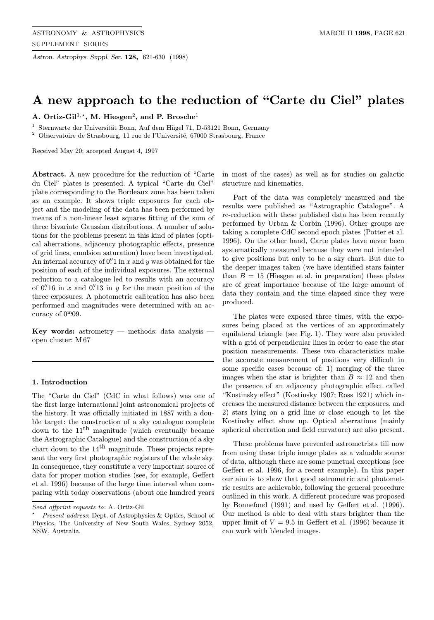Astron. Astrophys. Suppl. Ser. 128, 621-630 (1998)

# A new approach to the reduction of "Carte du Ciel" plates

A. Ortiz-Gil<sup>1,\*</sup>, M. Hiesgen<sup>2</sup>, and P. Brosche<sup>1</sup>

 $1$  Sternwarte der Universität Bonn, Auf dem Hügel 71, D-53121 Bonn, Germany

 $^{\rm 2}$  Observatoire de Strasbourg, 11 rue de l'Université, 67000 Strasbourg, France

Received May 20; accepted August 4, 1997

Abstract. A new procedure for the reduction of "Carte du Ciel" plates is presented. A typical "Carte du Ciel" plate corresponding to the Bordeaux zone has been taken as an example. It shows triple exposures for each object and the modeling of the data has been performed by means of a non-linear least squares fitting of the sum of three bivariate Gaussian distributions. A number of solutions for the problems present in this kind of plates (optical aberrations, adjacency photographic effects, presence of grid lines, emulsion saturation) have been investigated. An internal accuracy of  $0''$  in x and y was obtained for the position of each of the individual exposures. The external reduction to a catalogue led to results with an accuracy of  $0''$ 16 in x and  $0''$ 13 in y for the mean position of the three exposures. A photometric calibration has also been performed and magnitudes were determined with an accuracy of  $0^{\text{m}}.09$ .

Key words: astrometry — methods: data analysis open cluster: M 67

## 1. Introduction

The "Carte du Ciel" (CdC in what follows) was one of the first large international joint astronomical projects of the history. It was officially initiated in 1887 with a double target: the construction of a sky catalogue complete down to the  $11<sup>th</sup>$  magnitude (which eventually became the Astrographic Catalogue) and the construction of a sky chart down to the  $14<sup>th</sup>$  magnitude. These projects represent the very first photographic registers of the whole sky. In consequence, they constitute a very important source of data for proper motion studies (see, for example, Geffert et al. 1996) because of the large time interval when comparing with today observations (about one hundred years

in most of the cases) as well as for studies on galactic structure and kinematics.

Part of the data was completely measured and the results were published as "Astrographic Catalogue". A re-reduction with these published data has been recently performed by Urban & Corbin (1996). Other groups are taking a complete CdC second epoch plates (Potter et al. 1996). On the other hand, Carte plates have never been systematically measured because they were not intended to give positions but only to be a sky chart. But due to the deeper images taken (we have identified stars fainter than  $B = 15$  (Hiesgen et al. in preparation) these plates are of great importance because of the large amount of data they contain and the time elapsed since they were produced.

The plates were exposed three times, with the exposures being placed at the vertices of an approximately equilateral triangle (see Fig. 1). They were also provided with a grid of perpendicular lines in order to ease the star position measurements. These two characteristics make the accurate measurement of positions very difficult in some specific cases because of: 1) merging of the three images when the star is brighter than  $B \approx 12$  and then the presence of an adjacency photographic effect called "Kostinsky effect" (Kostinsky 1907; Ross 1921) which increases the measured distance between the exposures, and 2) stars lying on a grid line or close enough to let the Kostinsky effect show up. Optical aberrations (mainly spherical aberration and field curvature) are also present.

These problems have prevented astrometrists till now from using these triple image plates as a valuable source of data, although there are some punctual exceptions (see Geffert et al. 1996, for a recent example). In this paper our aim is to show that good astrometric and photometric results are achievable, following the general procedure outlined in this work. A different procedure was proposed by Bonnefond (1991) and used by Geffert et al. (1996). Our method is able to deal with stars brighter than the upper limit of  $V = 9.5$  in Geffert et al. (1996) because it can work with blended images.

Send offprint requests to: A. Ortiz-Gil

Present address: Dept. of Astrophysics & Optics, School of Physics, The University of New South Wales, Sydney 2052, NSW, Australia.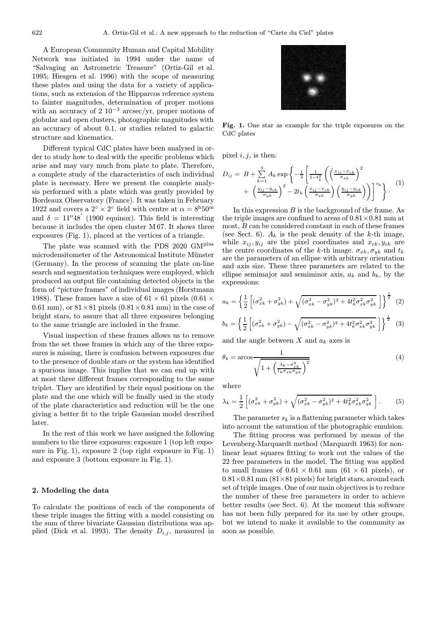A European Community Human and Capital Mobility Network was initiated in 1994 under the name of "Salvaging an Astrometric Treasure" (Ortiz-Gil et al. 1995; Hiesgen et al. 1996) with the scope of measuring these plates and using the data for a variety of applications, such as extension of the Hipparcos reference system to fainter magnitudes, determination of proper motions with an accuracy of 2  $10^{-3}$  arcsec/yr, proper motions of globular and open clusters, photographic magnitudes with an accuracy of about 0.1, or studies related to galactic structure and kinematics.

Different typical CdC plates have been analysed in order to study how to deal with the specific problems which arise and may vary much from plate to plate. Therefore, a complete study of the characteristics of each individual plate is necessary. Here we present the complete analysis performed with a plate which was gently provided by Bordeaux Observatory (France). It was taken in February 1922 and covers a  $2^{\circ} \times 2^{\circ}$  field with centre at  $\alpha = 8^{\rm h} 50^{\rm m}$ and  $\delta = 11^{\circ}48'$  (1900 equinox). This field is interesting because it includes the open cluster M 67. It shows three exposures (Fig. 1), placed at the vertices of a triangle.

The plate was scanned with the PDS 2020 GM<sup>plus</sup> microdensitometer of the Astronomical Institute Münster (Germany). In the process of scanning the plate on-line search and segmentation techniques were employed, which produced an output file containing detected objects in the form of "picture frames" of individual images (Horstmann 1988). These frames have a size of  $61 \times 61$  pixels  $(0.61 \times$ 0.61 mm), or  $81 \times 81$  pixels  $(0.81 \times 0.81$  mm) in the case of bright stars, to assure that all three exposures belonging to the same triangle are included in the frame.

Visual inspection of these frames allows us to remove from the set those frames in which any of the three exposures is missing, there is confusion between exposures due to the presence of double stars or the system has identified a spurious image. This implies that we can end up with at most three different frames corresponding to the same triplet. They are identified by their equal positions on the plate and the one which will be finally used in the study of the plate characteristics and reduction will be the one giving a better fit to the triple Gaussian model described later.

In the rest of this work we have assigned the following numbers to the three exposures: exposure 1 (top left exposure in Fig. 1), exposure 2 (top right exposure in Fig. 1) and exposure 3 (bottom exposure in Fig. 1).

#### 2. Modeling the data

To calculate the positions of each of the components of these triple images the fitting with a model consisting on the sum of three bivariate Gaussian distributions was applied (Dick et al. 1993). The density  $D_{i,j}$ , measured in



Fig. 1. One star as example for the triple exposures on the CdC plates

pixel  $i, j$ , is then:

$$
D_{ij} = B + \sum_{k=1}^{3} A_k \exp\left\{-\frac{1}{2} \left[ \frac{1}{1-t_k^2} \left( \left( \frac{x_{ij} - x_{ck}}{\sigma_{xk}} \right)^2 + \left( \frac{y_{ij} - y_{ck}}{\sigma_{yk}} \right)^2 - 2t_k \left( \frac{x_{ij} - x_{ck}}{\sigma_{xk}} \right) \left( \frac{y_{ij} - y_{ck}}{\sigma_{yk}} \right) \right) \right]^{s_k} \right\}.
$$
 (1)

In this expression  $B$  is the background of the frame. As the triple images are confined to areas of  $0.81\times0.81$  mm at most, B can be considered constant in each of these frames (see Sect. 6).  $A_k$  is the peak density of the k-th image, while  $x_{ij}$ ,  $y_{ij}$  are the pixel coordinates and  $x_{ck}$ ,  $y_{ck}$  are the centre coordinates of the k-th image.  $\sigma_{x_k}, \sigma_{y_k}$  and  $t_k$ are the parameters of an ellipse with arbitrary orientation and axis size. These three parameters are related to the ellipse semimajor and semiminor axis,  $a_k$  and  $b_k$ , by the expressions:

$$
a_k = \left\{ \frac{1}{2} \left[ (\sigma_{x_k}^2 + \sigma_{y_k}^2) + \sqrt{(\sigma_{x_k}^2 - \sigma_{y_k}^2)^2 + 4t_k^2 \sigma_{x_k}^2 \sigma_{y_k}^2} \right] \right\}^{\frac{1}{2}} \tag{2}
$$

$$
b_k = \left\{ \frac{1}{2} \left[ (\sigma_{xk}^2 + \sigma_{yk}^2) - \sqrt{(\sigma_{xk}^2 - \sigma_{yk}^2)^2 + 4t_k^2 \sigma_{xk}^2 \sigma_{yk}^2} \right] \right\}^{\frac{1}{2}} \tag{3}
$$

and the angle between X and  $a_k$  axes is

$$
\theta_k = \arccos \frac{1}{\sqrt{1 + \left(\frac{\lambda_k - \sigma_{x_k}^2}{t_k \sigma_{xk} \sigma_{yk}}\right)^2}}
$$
(4)

where

$$
\lambda_k = \frac{1}{2} \left[ (\sigma_{xk}^2 + \sigma_{yk}^2) + \sqrt{(\sigma_{xk}^2 - \sigma_{yk}^2)^2 + 4t_k^2 \sigma_{xk}^2 \sigma_{yk}^2} \right].
$$
 (5)

The parameter  $s_k$  is a flattening parameter which takes into account the saturation of the photographic emulsion.

The fitting process was performed by means of the Levenberg-Marquardt method (Marquardt 1963) for nonlinear least squares fitting to work out the values of the 22 free parameters in the model. The fitting was applied to small frames of  $0.61 \times 0.61$  mm  $(61 \times 61)$  pixels), or  $0.81\times0.81$  mm  $(81\times81$  pixels) for bright stars, around each set of triple images. One of our main objectives is to reduce the number of these free parameters in order to achieve better results (see Sect. 6). At the moment this software has not been fully prepared for its use by other groups, but we intend to make it available to the community as soon as possible.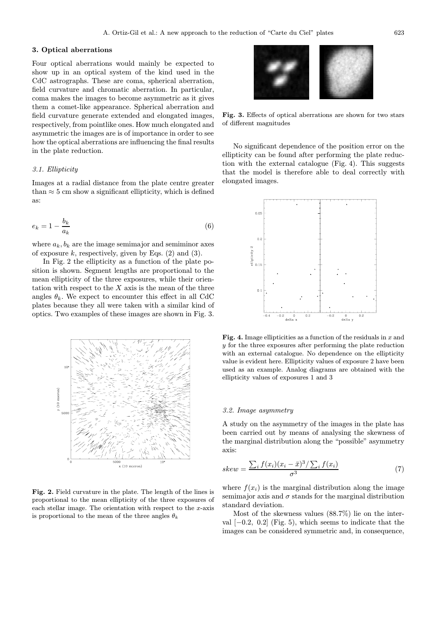## 3. Optical aberrations

Four optical aberrations would mainly be expected to show up in an optical system of the kind used in the CdC astrographs. These are coma, spherical aberration, field curvature and chromatic aberration. In particular, coma makes the images to become asymmetric as it gives them a comet-like appearance. Spherical aberration and field curvature generate extended and elongated images, respectively, from pointlike ones. How much elongated and asymmetric the images are is of importance in order to see how the optical aberrations are influencing the final results in the plate reduction.

## 3.1. Ellipticity

Images at a radial distance from the plate centre greater than  $\approx$  5 cm show a significant ellipticity, which is defined as:

$$
e_k = 1 - \frac{b_k}{a_k} \tag{6}
$$

where  $a_k, b_k$  are the image semimajor and semiminor axes of exposure k, respectively, given by Eqs.  $(2)$  and  $(3)$ .

In Fig. 2 the ellipticity as a function of the plate position is shown. Segment lengths are proportional to the mean ellipticity of the three exposures, while their orientation with respect to the  $X$  axis is the mean of the three angles  $\theta_k$ . We expect to encounter this effect in all CdC plates because they all were taken with a similar kind of optics. Two examples of these images are shown in Fig. 3.



Fig. 2. Field curvature in the plate. The length of the lines is proportional to the mean ellipticity of the three exposures of each stellar image. The orientation with respect to the  $x$ -axis is proportional to the mean of the three angles  $\theta_k$ 



Fig. 3. Effects of optical aberrations are shown for two stars of different magnitudes

No significant dependence of the position error on the ellipticity can be found after performing the plate reduction with the external catalogue (Fig. 4). This suggests that the model is therefore able to deal correctly with elongated images.



Fig. 4. Image ellipticities as a function of the residuals in  $x$  and y for the three exposures after performing the plate reduction with an external catalogue. No dependence on the ellipticity value is evident here. Ellipticity values of exposure 2 have been used as an example. Analog diagrams are obtained with the ellipticity values of exposures 1 and 3

## 3.2. Image asymmetry

A study on the asymmetry of the images in the plate has been carried out by means of analysing the skewness of the marginal distribution along the "possible" asymmetry axis:

$$
skew = \frac{\sum_{i} f(x_i)(x_i - \bar{x})^3 / \sum_{i} f(x_i)}{\sigma^3} \tag{7}
$$

where  $f(x_i)$  is the marginal distribution along the image semimajor axis and  $\sigma$  stands for the marginal distribution standard deviation.

Most of the skewness values (88.7%) lie on the interval  $[-0.2, 0.2]$  (Fig. 5), which seems to indicate that the images can be considered symmetric and, in consequence,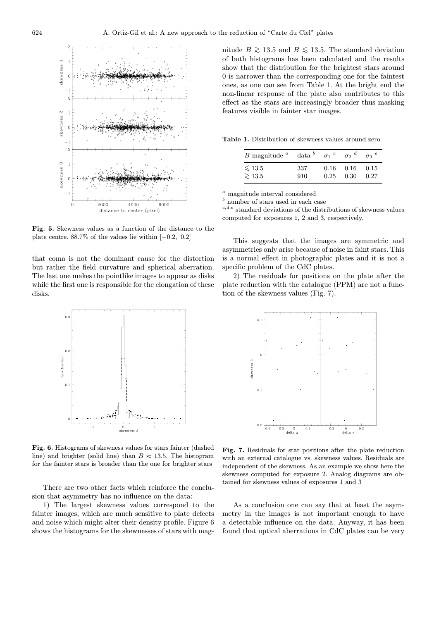

Fig. 5. Skewness values as a function of the distance to the plate centre. 88.7% of the values lie within [−0.2, 0.2]

that coma is not the dominant cause for the distortion but rather the field curvature and spherical aberration. The last one makes the pointlike images to appear as disks while the first one is responsible for the elongation of these disks.



Fig. 6. Histograms of skewness values for stars fainter (dashed line) and brighter (solid line) than  $B \approx 13.5$ . The histogram for the fainter stars is broader than the one for brighter stars

There are two other facts which reinforce the conclusion that asymmetry has no influence on the data:

1) The largest skewness values correspond to the fainter images, which are much sensitive to plate defects and noise which might alter their density profile. Figure 6 shows the histograms for the skewnesses of stars with magnitude  $B \gtrsim 13.5$  and  $B \lesssim 13.5$ . The standard deviation of both histograms has been calculated and the results show that the distribution for the brightest stars around 0 is narrower than the corresponding one for the faintest ones, as one can see from Table 1. At the bright end the non-linear response of the plate also contributes to this effect as the stars are increasingly broader thus masking features visible in fainter star images.

Table 1. Distribution of skewness values around zero

| $B$ magnitude $\alpha$ | $data^b$ | $\sigma_1$ $^c$ | $\sigma$ <sup>d</sup> | $\sigma$ <sup>2</sup> |
|------------------------|----------|-----------------|-----------------------|-----------------------|
| $\lesssim$ 13.5        | 337      | 0.16            | 0.16                  | 0.15                  |
| $\geq 13.5$            | 910      | 0.25            | 0.30                  | 0.27                  |

 $a$  magnitude interval considered

 $\frac{b}{b}$  number of stars used in each case

 $c,d,e$  standard deviations of the distributions of skewness values computed for exposures 1, 2 and 3, respectively.

This suggests that the images are symmetric and asymmetries only arise because of noise in faint stars. This is a normal effect in photographic plates and it is not a specific problem of the CdC plates.

2) The residuals for positions on the plate after the plate reduction with the catalogue (PPM) are not a function of the skewness values (Fig. 7).



Fig. 7. Residuals for star positions after the plate reduction with an external catalogue vs. skewness values. Residuals are independent of the skewness. As an example we show here the skewness computed for exposure 2. Analog diagrams are obtained for skewness values of exposures 1 and 3

As a conclusion one can say that at least the asymmetry in the images is not important enough to have a detectable influence on the data. Anyway, it has been found that optical aberrations in CdC plates can be very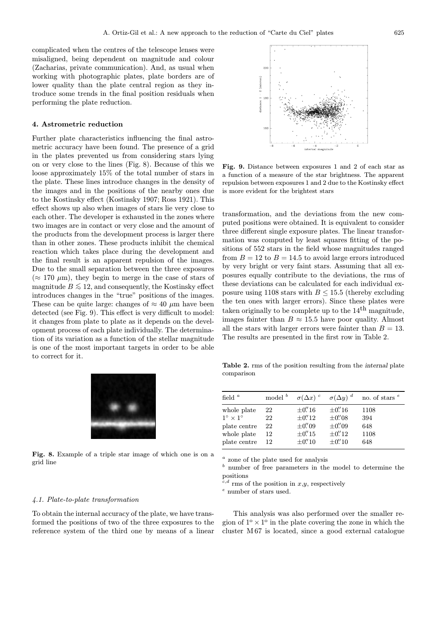complicated when the centres of the telescope lenses were misaligned, being dependent on magnitude and colour (Zacharias, private communication). And, as usual when working with photographic plates, plate borders are of lower quality than the plate central region as they introduce some trends in the final position residuals when performing the plate reduction.

## 4. Astrometric reduction

Further plate characteristics influencing the final astrometric accuracy have been found. The presence of a grid in the plates prevented us from considering stars lying on or very close to the lines (Fig. 8). Because of this we loose approximately 15% of the total number of stars in the plate. These lines introduce changes in the density of the images and in the positions of the nearby ones due to the Kostinsky effect (Kostinsky 1907; Ross 1921). This effect shows up also when images of stars lie very close to each other. The developer is exhausted in the zones where two images are in contact or very close and the amount of the products from the development process is larger there than in other zones. These products inhibit the chemical reaction which takes place during the development and the final result is an apparent repulsion of the images. Due to the small separation between the three exposures  $(\approx 170 \mu m)$ , they begin to merge in the case of stars of magnitude  $B \leq 12$ , and consequently, the Kostinsky effect introduces changes in the "true" positions of the images. These can be quite large: changes of  $\approx 40 \ \mu m$  have been detected (see Fig. 9). This effect is very difficult to model: it changes from plate to plate as it depends on the development process of each plate individually. The determination of its variation as a function of the stellar magnitude is one of the most important targets in order to be able to correct for it.



Fig. 8. Example of a triple star image of which one is on a grid line



Fig. 9. Distance between exposures 1 and 2 of each star as a function of a measure of the star brightness. The apparent repulsion between exposures 1 and 2 due to the Kostinsky effect is more evident for the brightest stars

transformation, and the deviations from the new computed positions were obtained. It is equivalent to consider three different single exposure plates. The linear transformation was computed by least squares fitting of the positions of 552 stars in the field whose magnitudes ranged from  $B = 12$  to  $B = 14.5$  to avoid large errors introduced by very bright or very faint stars. Assuming that all exposures equally contribute to the deviations, the rms of these deviations can be calculated for each individual exposure using 1108 stars with  $B \le 15.5$  (thereby excluding the ten ones with larger errors). Since these plates were taken originally to be complete up to the  $14<sup>th</sup>$  magnitude, images fainter than  $B \approx 15.5$  have poor quality. Almost all the stars with larger errors were fainter than  $B = 13$ . The results are presented in the first row in Table 2.

Table 2. rms of the position resulting from the internal plate comparison

| field $\alpha$                                                                         | model <sup>b</sup>         | $\sigma(\Delta x)$ $^{c}$                                                                                                                                                          | $\sigma(\Delta y)^{d}$                                                                                                                                               | no. of stars $e$                  |
|----------------------------------------------------------------------------------------|----------------------------|------------------------------------------------------------------------------------------------------------------------------------------------------------------------------------|----------------------------------------------------------------------------------------------------------------------------------------------------------------------|-----------------------------------|
| whole plate<br>$1^\circ \times 1^\circ$<br>plate centre<br>whole plate<br>plate centre | 22<br>22<br>22<br>12<br>12 | $\pm 0.^{\hspace*{-0.1cm}\prime\prime}$ 16<br>$\pm 0.^{\hspace*{-0.1cm}\prime\prime}$ 12<br>$\pm 0.^{\prime\prime}$ 09<br>$\pm 0.^{\hspace*{-0.1cm}\prime\prime}$ 15<br>$\pm 0.10$ | $\pm 0.^{\hspace*{-0.1cm}\prime\prime}$ 16<br>$\pm 0.^{\prime\prime}$ 08<br>$\pm 0.^{\prime\prime}$ 09<br>$\pm 0.^{\hspace*{-0.1cm}\prime\prime}$ 12<br>$\pm 0$ " 10 | 1108<br>394<br>648<br>1108<br>648 |

<sup>a</sup> zone of the plate used for analysis<br> $\frac{b}{b}$  number of free parameters in the

number of free parameters in the model to determine the positions

 $c,d$  rms of the position in  $x,y$ , respectively

 $e$  number of stars used.

#### 4.1. Plate-to-plate transformation

To obtain the internal accuracy of the plate, we have transformed the positions of two of the three exposures to the reference system of the third one by means of a linear

This analysis was also performed over the smaller region of  $1^{\circ} \times 1^{\circ}$  in the plate covering the zone in which the cluster M 67 is located, since a good external catalogue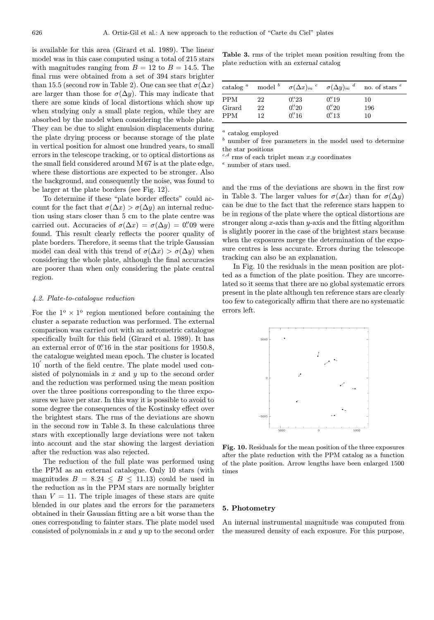is available for this area (Girard et al. 1989). The linear model was in this case computed using a total of 215 stars with magnitudes ranging from  $B = 12$  to  $B = 14.5$ . The final rms were obtained from a set of 394 stars brighter than 15.5 (second row in Table 2). One can see that  $\sigma(\Delta x)$ are larger than those for  $\sigma(\Delta y)$ . This may indicate that there are some kinds of local distortions which show up when studying only a small plate region, while they are absorbed by the model when considering the whole plate. They can be due to slight emulsion displacements during the plate drying process or because storage of the plate in vertical position for almost one hundred years, to small errors in the telescope tracking, or to optical distortions as the small field considered around M 67 is at the plate edge, where these distortions are expected to be stronger. Also the background, and consequently the noise, was found to be larger at the plate borders (see Fig. 12).

To determine if these "plate border effects" could account for the fact that  $\sigma(\Delta x) > \sigma(\Delta y)$  an internal reduction using stars closer than 5 cm to the plate centre was carried out. Accuracies of  $\sigma(\Delta x) = \sigma(\Delta y) = 0.09$  were found. This result clearly reflects the poorer quality of plate borders. Therefore, it seems that the triple Gaussian model can deal with this trend of  $\sigma(\Delta x) > \sigma(\Delta y)$  when considering the whole plate, although the final accuracies are poorer than when only considering the plate central region.

## 4.2. Plate-to-catalogue reduction

For the  $1^{\circ} \times 1^{\circ}$  region mentioned before containing the cluster a separate reduction was performed. The external comparison was carried out with an astrometric catalogue specifically built for this field (Girard et al. 1989). It has an external error of  $0''$ 16 in the star positions for 1950.8, the catalogue weighted mean epoch. The cluster is located 10<sup>'</sup> north of the field centre. The plate model used consisted of polynomials in  $x$  and  $y$  up to the second order and the reduction was performed using the mean position over the three positions corresponding to the three exposures we have per star. In this way it is possible to avoid to some degree the consequences of the Kostinsky effect over the brightest stars. The rms of the deviations are shown in the second row in Table 3. In these calculations three stars with exceptionally large deviations were not taken into account and the star showing the largest deviation after the reduction was also rejected.

The reduction of the full plate was performed using the PPM as an external catalogue. Only 10 stars (with magnitudes  $B = 8.24 \leq B \leq 11.13$  could be used in the reduction as in the PPM stars are normally brighter than  $V = 11$ . The triple images of these stars are quite blended in our plates and the errors for the parameters obtained in their Gaussian fitting are a bit worse than the ones corresponding to fainter stars. The plate model used consisted of polynomials in  $x$  and  $y$  up to the second order

Table 3. rms of the triplet mean position resulting from the plate reduction with an external catalog

| $\alpha$ catalog $\alpha$          |                | model $\int_a^b \sigma(\Delta x)_{m}^c \sigma(\Delta y)_{m}^d$ |                                            | no. of stars <sup>e</sup> |
|------------------------------------|----------------|----------------------------------------------------------------|--------------------------------------------|---------------------------|
| <b>PPM</b><br>Girard<br><b>PPM</b> | 22<br>22<br>12 | $0.^{\prime\prime}23$<br>0''/20<br>0''/16                      | 0''/19<br>$0.^{\prime\prime}20$<br>0''' 13 | 10<br>196<br>10           |
|                                    |                |                                                                |                                            |                           |

 $\real^a$  catalog employed

number of free parameters in the model used to determine the star positions

 $c,d$  rms of each triplet mean  $x,y$  coordinates

<sup>e</sup> number of stars used.

and the rms of the deviations are shown in the first row in Table 3. The larger values for  $\sigma(\Delta x)$  than for  $\sigma(\Delta y)$ can be due to the fact that the reference stars happen to be in regions of the plate where the optical distortions are stronger along  $x$ -axis than  $y$ -axis and the fitting algorithm is slightly poorer in the case of the brightest stars because when the exposures merge the determination of the exposure centres is less accurate. Errors during the telescope tracking can also be an explanation.

In Fig. 10 the residuals in the mean position are plotted as a function of the plate position. They are uncorrelated so it seems that there are no global systematic errors present in the plate although ten reference stars are clearly too few to categorically affirm that there are no systematic errors left.



Fig. 10. Residuals for the mean position of the three exposures after the plate reduction with the PPM catalog as a function of the plate position. Arrow lengths have been enlarged 1500 times

#### 5. Photometry

An internal instrumental magnitude was computed from the measured density of each exposure. For this purpose,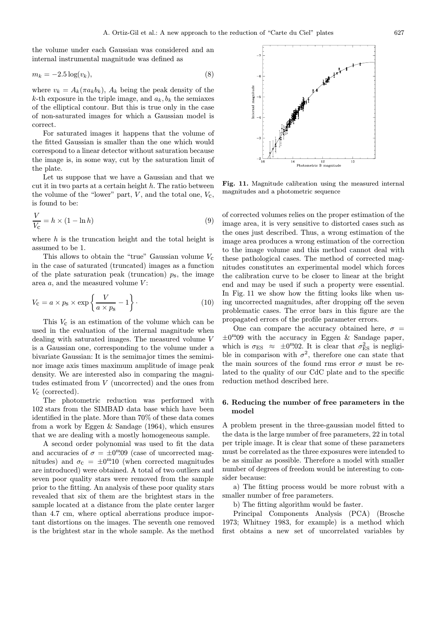the volume under each Gaussian was considered and an internal instrumental magnitude was defined as

$$
m_k = -2.5 \log(v_k),\tag{8}
$$

where  $v_k = A_k(\pi a_k b_k)$ ,  $A_k$  being the peak density of the k-th exposure in the triple image, and  $a_k, b_k$  the semiaxes of the elliptical contour. But this is true only in the case of non-saturated images for which a Gaussian model is correct.

For saturated images it happens that the volume of the fitted Gaussian is smaller than the one which would correspond to a linear detector without saturation because the image is, in some way, cut by the saturation limit of the plate.

Let us suppose that we have a Gaussian and that we cut it in two parts at a certain height  $h$ . The ratio between the volume of the "lower" part,  $V$ , and the total one,  $V_c$ , is found to be:

$$
\frac{V}{V_{\rm C}} = h \times (1 - \ln h) \tag{9}
$$

where  $h$  is the truncation height and the total height is assumed to be 1.

This allows to obtain the "true" Gaussian volume  $V_c$ in the case of saturated (truncated) images as a function of the plate saturation peak (truncation)  $p_s$ , the image area  $a$ , and the measured volume  $V$ :

$$
V_{\rm C} = a \times p_{\rm s} \times \exp\left\{\frac{V}{a \times p_{\rm s}} - 1\right\}.
$$
 (10)

This  $V_c$  is an estimation of the volume which can be used in the evaluation of the internal magnitude when dealing with saturated images. The measured volume V is a Gaussian one, corresponding to the volume under a bivariate Gaussian: It is the semimajor times the semiminor image axis times maximum amplitude of image peak density. We are interested also in comparing the magnitudes estimated from V (uncorrected) and the ones from  $V_{\rm c}$  (corrected).

The photometric reduction was performed with 102 stars from the SIMBAD data base which have been identified in the plate. More than 70% of these data comes from a work by Eggen & Sandage (1964), which ensures that we are dealing with a mostly homogeneous sample.

A second order polynomial was used to fit the data and accuracies of  $\sigma = \pm 0$ <sup>m</sup>.09 (case of uncorrected magnitudes) and  $\sigma_{\rm c} = \pm 0^{\rm m}10$  (when corrected magnitudes are introduced) were obtained. A total of two outliers and seven poor quality stars were removed from the sample prior to the fitting. An analysis of these poor quality stars revealed that six of them are the brightest stars in the sample located at a distance from the plate center larger than 4.7 cm, where optical aberrations produce important distortions on the images. The seventh one removed is the brightest star in the whole sample. As the method



Fig. 11. Magnitude calibration using the measured internal magnitudes and a photometric sequence

of corrected volumes relies on the proper estimation of the image area, it is very sensitive to distorted cases such as the ones just described. Thus, a wrong estimation of the image area produces a wrong estimation of the correction to the image volume and this method cannot deal with these pathological cases. The method of corrected magnitudes constitutes an experimental model which forces the calibration curve to be closer to linear at the bright end and may be used if such a property were essential. In Fig. 11 we show how the fitting looks like when using uncorrected magnitudes, after dropping off the seven problematic cases. The error bars in this figure are the propagated errors of the profile parameter errors.

One can compare the accuracy obtained here,  $\sigma$  =  $\pm 0^{\text{m}}.09$  with the accuracy in Eggen & Sandage paper, which is  $\sigma_{ES} \approx \pm 0^{m}02$ . It is clear that  $\sigma_{ES}^2$  is negligible in comparison with  $\sigma^2$ , therefore one can state that the main sources of the found rms error  $\sigma$  must be related to the quality of our CdC plate and to the specific reduction method described here.

# 6. Reducing the number of free parameters in the model

A problem present in the three-gaussian model fitted to the data is the large number of free parameters, 22 in total per triple image. It is clear that some of these parameters must be correlated as the three exposures were intended to be as similar as possible. Therefore a model with smaller number of degrees of freedom would be interesting to consider because:

a) The fitting process would be more robust with a smaller number of free parameters.

b) The fitting algorithm would be faster.

Principal Components Analysis (PCA) (Brosche 1973; Whitney 1983, for example) is a method which first obtains a new set of uncorrelated variables by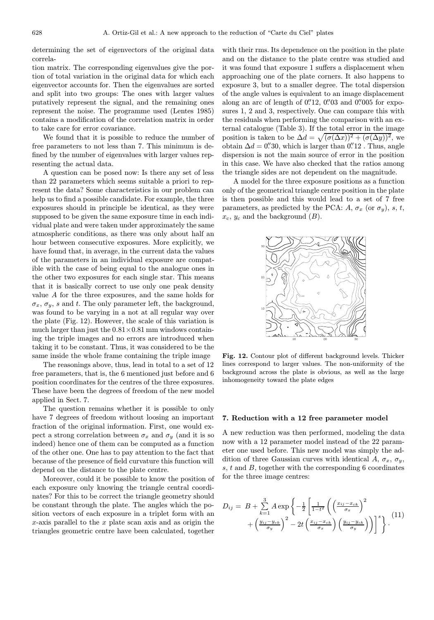determining the set of eigenvectors of the original data correla-

tion matrix. The corresponding eigenvalues give the portion of total variation in the original data for which each eigenvector accounts for. Then the eigenvalues are sorted and split into two groups: The ones with larger values putatively represent the signal, and the remaining ones represent the noise. The programme used (Lentes 1985) contains a modification of the correlation matrix in order to take care for error covariance.

We found that it is possible to reduce the number of free parameters to not less than 7. This minimum is defined by the number of eigenvalues with larger values representing the actual data.

A question can be posed now: Is there any set of less than 22 parameters which seems suitable a priori to represent the data? Some characteristics in our problem can help us to find a possible candidate. For example, the three exposures should in principle be identical, as they were supposed to be given the same exposure time in each individual plate and were taken under approximately the same atmospheric conditions, as there was only about half an hour between consecutive exposures. More explicitly, we have found that, in average, in the current data the values of the parameters in an individual exposure are compatible with the case of being equal to the analogue ones in the other two exposures for each single star. This means that it is basically correct to use only one peak density value A for the three exposures, and the same holds for  $\sigma_x$ ,  $\sigma_y$ , s and t. The only parameter left, the background, was found to be varying in a not at all regular way over the plate (Fig. 12). However, the scale of this variation is much larger than just the  $0.81\times0.81$  mm windows containing the triple images and no errors are introduced when taking it to be constant. Thus, it was considered to be the same inside the whole frame containing the triple image

The reasonings above, thus, lead in total to a set of 12 free parameters, that is, the 6 mentioned just before and 6 position coordinates for the centres of the three exposures. These have been the degrees of freedom of the new model applied in Sect. 7.

The question remains whether it is possible to only have 7 degrees of freedom without loosing an important fraction of the original information. First, one would expect a strong correlation between  $\sigma_x$  and  $\sigma_y$  (and it is so indeed) hence one of them can be computed as a function of the other one. One has to pay attention to the fact that because of the presence of field curvature this function will depend on the distance to the plate centre.

Moreover, could it be possible to know the position of each exposure only knowing the triangle central coordinates? For this to be correct the triangle geometry should be constant through the plate. The angles which the position vectors of each exposure in a triplet form with an  $x$ -axis parallel to the  $x$  plate scan axis and as origin the triangles geometric centre have been calculated, together

with their rms. Its dependence on the position in the plate and on the distance to the plate centre was studied and it was found that exposure 1 suffers a displacement when approaching one of the plate corners. It also happens to exposure 3, but to a smaller degree. The total dispersion of the angle values is equivalent to an image displacement along an arc of length of  $0.^{\prime\prime}12$ ,  $0.^{\prime\prime}03$  and  $0.^{\prime\prime}005$  for exposures 1, 2 and 3, respectively. One can compare this with the residuals when performing the comparison with an external catalogue (Table 3). If the total error in the image position is taken to be  $\Delta d = \sqrt{(\sigma(\Delta x))^2 + (\sigma(\Delta y))^2}$ , we obtain  $\Delta d = 0$ . which is larger than  $0$ . Thus, angle dispersion is not the main source of error in the position in this case. We have also checked that the ratios among the triangle sides are not dependent on the magnitude.

A model for the three exposure positions as a function only of the geometrical triangle centre position in the plate is then possible and this would lead to a set of 7 free parameters, as predicted by the PCA:  $A, \sigma_x$  (or  $\sigma_y$ ), s, t,  $x_c$ ,  $y_c$  and the background  $(B)$ .



Fig. 12. Contour plot of different background levels. Thicker lines correspond to larger values. The non-uniformity of the background across the plate is obvious, as well as the large inhomogeneity toward the plate edges

#### 7. Reduction with a 12 free parameter model

A new reduction was then performed, modeling the data now with a 12 parameter model instead of the 22 parameter one used before. This new model was simply the addition of three Gaussian curves with identical A,  $\sigma_x$ ,  $\sigma_y$ ,  $s, t$  and  $B$ , together with the corresponding 6 coordinates for the three image centres:

$$
D_{ij} = B + \sum_{k=1}^{3} A \exp \left\{-\frac{1}{2} \left[ \frac{1}{1-t^2} \left( \left( \frac{x_{ij} - x_{ck}}{\sigma_x} \right)^2 + \left( \frac{y_{ij} - y_{ck}}{\sigma_y} \right)^2 - 2t \left( \frac{x_{ij} - x_{ck}}{\sigma_x} \right) \left( \frac{y_{ij} - y_{ck}}{\sigma_y} \right) \right) \right]^s \right\}.
$$
 (11)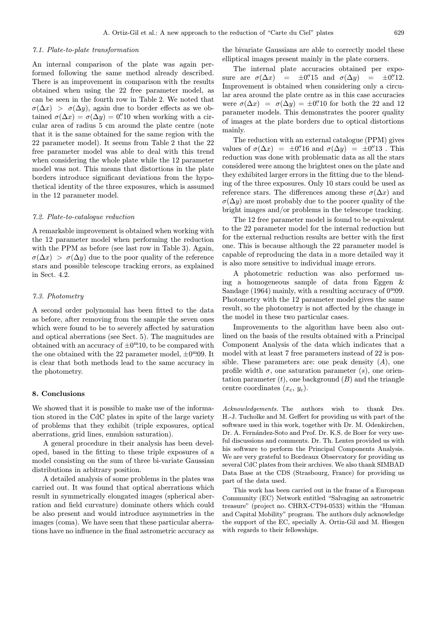### 7.1. Plate-to-plate transformation

An internal comparison of the plate was again performed following the same method already described. There is an improvement in comparison with the results obtained when using the 22 free parameter model, as can be seen in the fourth row in Table 2. We noted that  $\sigma(\Delta x) > \sigma(\Delta y)$ , again due to border effects as we obtained  $\sigma(\Delta x) = \sigma(\Delta y) = 0$ . Then working with a circular area of radius 5 cm around the plate centre (note that it is the same obtained for the same region with the 22 parameter model). It seems from Table 2 that the 22 free parameter model was able to deal with this trend when considering the whole plate while the 12 parameter model was not. This means that distortions in the plate borders introduce significant deviations from the hypothetical identity of the three exposures, which is assumed in the 12 parameter model.

## 7.2. Plate-to-catalogue reduction

A remarkable improvement is obtained when working with the 12 parameter model when performing the reduction with the PPM as before (see last row in Table 3). Again,  $\sigma(\Delta x) > \sigma(\Delta y)$  due to the poor quality of the reference stars and possible telescope tracking errors, as explained in Sect. 4.2.

## 7.3. Photometry

A second order polynomial has been fitted to the data as before, after removing from the sample the seven ones which were found to be to severely affected by saturation and optical aberrations (see Sect. 5). The magnitudes are obtained with an accuracy of  $\pm 0^{\text{m}}10$ , to be compared with the one obtained with the 22 parameter model,  $\pm 0^{\text{m}}$ 09. It is clear that both methods lead to the same accuracy in the photometry.

#### 8. Conclusions

We showed that it is possible to make use of the information stored in the CdC plates in spite of the large variety of problems that they exhibit (triple exposures, optical aberrations, grid lines, emulsion saturation).

A general procedure in their analysis has been developed, based in the fitting to these triple exposures of a model consisting on the sum of three bi-variate Gaussian distributions in arbitrary position.

A detailed analysis of some problems in the plates was carried out. It was found that optical aberrations which result in symmetrically elongated images (spherical aberration and field curvature) dominate others which could be also present and would introduce asymmetries in the images (coma). We have seen that these particular aberrations have no influence in the final astrometric accuracy as the bivariate Gaussians are able to correctly model these elliptical images present mainly in the plate corners.

The internal plate accuracies obtained per exposure are  $\sigma(\Delta x)$  =  $\pm 0.^{\prime\prime}15$  and  $\sigma(\Delta y)$  =  $\pm 0.^{\prime\prime}12$ . Improvement is obtained when considering only a circular area around the plate centre as in this case accuracies were  $\sigma(\Delta x) = \sigma(\Delta y) = \pm 0$ . If so both the 22 and 12 parameter models. This demonstrates the poorer quality of images at the plate borders due to optical distortions mainly.

The reduction with an external catalogue (PPM) gives values of  $\sigma(\Delta x) = \pm 0$ . 16 and  $\sigma(\Delta y) = \pm 0$ . This reduction was done with problematic data as all the stars considered were among the brightest ones on the plate and they exhibited larger errors in the fitting due to the blending of the three exposures. Only 10 stars could be used as reference stars. The differences among these  $\sigma(\Delta x)$  and  $\sigma(\Delta y)$  are most probably due to the poorer quality of the bright images and/or problems in the telescope tracking.

The 12 free parameter model is found to be equivalent to the 22 parameter model for the internal reduction but for the external reduction results are better with the first one. This is because although the 22 parameter model is capable of reproducing the data in a more detailed way it is also more sensitive to individual image errors.

A photometric reduction was also performed using a homogeneous sample of data from Eggen & Sandage (1964) mainly, with a resulting accuracy of  $0<sup>m</sup>09$ . Photometry with the 12 parameter model gives the same result, so the photometry is not affected by the change in the model in these two particular cases.

Improvements to the algorithm have been also outlined on the basis of the results obtained with a Principal Component Analysis of the data which indicates that a model with at least 7 free parameters instead of 22 is possible. These parameters are: one peak density  $(A)$ , one profile width  $\sigma$ , one saturation parameter  $(s)$ , one orientation parameter  $(t)$ , one background  $(B)$  and the triangle centre coordinates  $(x_c, y_c)$ .

Acknowledgements. The authors wish to thank Drs. H.-J. Tucholke and M. Geffert for providing us with part of the software used in this work, together with Dr. M. Odenkirchen, Dr. A. Fernández-Soto and Prof. Dr. K.S. de Boer for very useful discussions and comments. Dr. Th. Lentes provided us with his software to perform the Principal Components Analysis. We are very grateful to Bordeaux Observatory for providing us several CdC plates from their archives. We also thank SIMBAD Data Base at the CDS (Strasbourg, France) for providing us part of the data used.

This work has been carried out in the frame of a European Community (EC) Network entitled "Salvaging an astrometric treasure" (project no. CHRX-CT94-0533) within the "Human and Capital Mobility" program. The authors duly acknowledge the support of the EC, specially A. Ortiz-Gil and M. Hiesgen with regards to their fellowships.